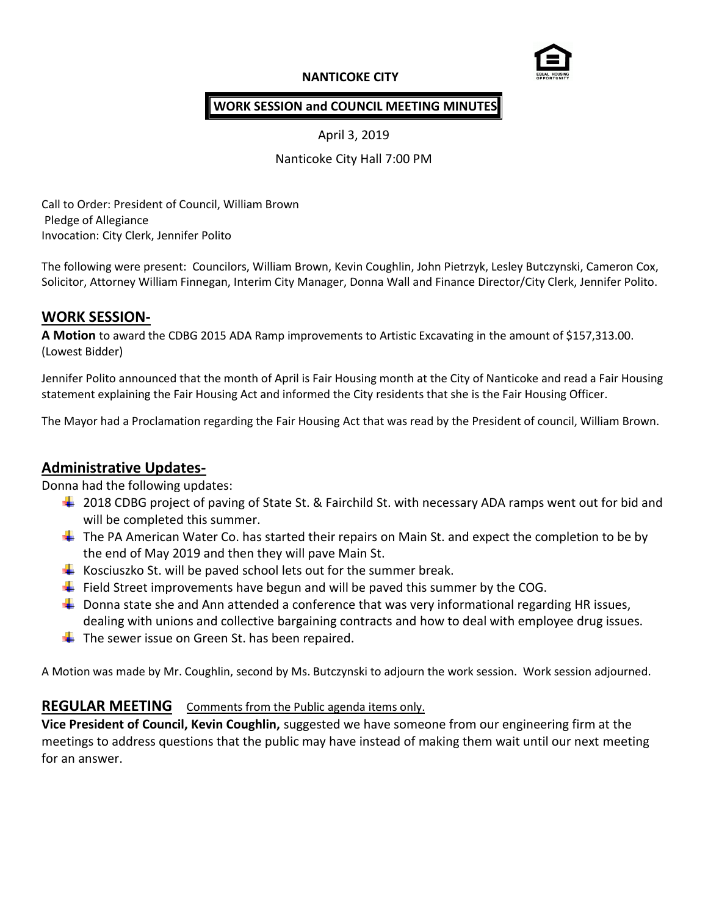# **NANTICOKE CITY**



## **WORK SESSION and COUNCIL MEETING MINUTES**

April 3, 2019

Nanticoke City Hall 7:00 PM

Call to Order: President of Council, William Brown Pledge of Allegiance Invocation: City Clerk, Jennifer Polito

The following were present: Councilors, William Brown, Kevin Coughlin, John Pietrzyk, Lesley Butczynski, Cameron Cox, Solicitor, Attorney William Finnegan, Interim City Manager, Donna Wall and Finance Director/City Clerk, Jennifer Polito.

# **WORK SESSION-**

**A Motion** to award the CDBG 2015 ADA Ramp improvements to Artistic Excavating in the amount of \$157,313.00. (Lowest Bidder)

Jennifer Polito announced that the month of April is Fair Housing month at the City of Nanticoke and read a Fair Housing statement explaining the Fair Housing Act and informed the City residents that she is the Fair Housing Officer.

The Mayor had a Proclamation regarding the Fair Housing Act that was read by the President of council, William Brown.

# **Administrative Updates-**

Donna had the following updates:

- $\ddot{+}$  2018 CDBG project of paving of State St. & Fairchild St. with necessary ADA ramps went out for bid and will be completed this summer.
- $\ddot{\bullet}$  The PA American Water Co. has started their repairs on Main St. and expect the completion to be by the end of May 2019 and then they will pave Main St.
- Kosciuszko St. will be paved school lets out for the summer break.
- Field Street improvements have begun and will be paved this summer by the COG.
- $\downarrow$  Donna state she and Ann attended a conference that was very informational regarding HR issues, dealing with unions and collective bargaining contracts and how to deal with employee drug issues.
- $\overline{\phantom{a}}$  The sewer issue on Green St. has been repaired.

A Motion was made by Mr. Coughlin, second by Ms. Butczynski to adjourn the work session. Work session adjourned.

## **REGULAR MEETING** Comments from the Public agenda items only.

**Vice President of Council, Kevin Coughlin,** suggested we have someone from our engineering firm at the meetings to address questions that the public may have instead of making them wait until our next meeting for an answer.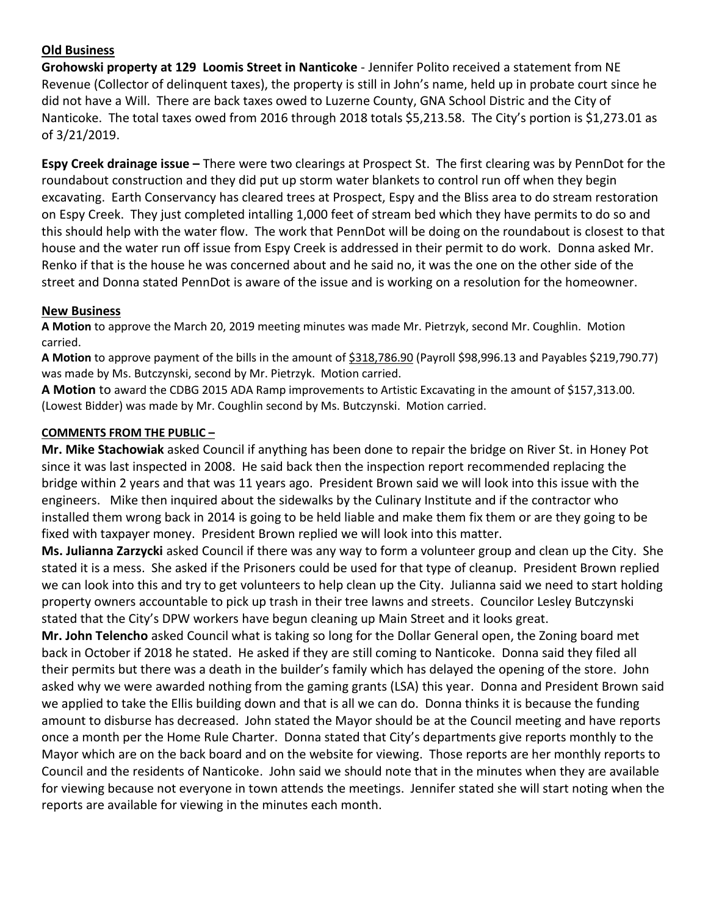# **Old Business**

**Grohowski property at 129 Loomis Street in Nanticoke** - Jennifer Polito received a statement from NE Revenue (Collector of delinquent taxes), the property is still in John's name, held up in probate court since he did not have a Will. There are back taxes owed to Luzerne County, GNA School Distric and the City of Nanticoke. The total taxes owed from 2016 through 2018 totals \$5,213.58. The City's portion is \$1,273.01 as of 3/21/2019.

**Espy Creek drainage issue –** There were two clearings at Prospect St. The first clearing was by PennDot for the roundabout construction and they did put up storm water blankets to control run off when they begin excavating. Earth Conservancy has cleared trees at Prospect, Espy and the Bliss area to do stream restoration on Espy Creek. They just completed intalling 1,000 feet of stream bed which they have permits to do so and this should help with the water flow. The work that PennDot will be doing on the roundabout is closest to that house and the water run off issue from Espy Creek is addressed in their permit to do work. Donna asked Mr. Renko if that is the house he was concerned about and he said no, it was the one on the other side of the street and Donna stated PennDot is aware of the issue and is working on a resolution for the homeowner.

#### **New Business**

**A Motion** to approve the March 20, 2019 meeting minutes was made Mr. Pietrzyk, second Mr. Coughlin. Motion carried.

**A Motion** to approve payment of the bills in the amount of \$318,786.90 (Payroll \$98,996.13 and Payables \$219,790.77) was made by Ms. Butczynski, second by Mr. Pietrzyk. Motion carried.

**A Motion** to award the CDBG 2015 ADA Ramp improvements to Artistic Excavating in the amount of \$157,313.00. (Lowest Bidder) was made by Mr. Coughlin second by Ms. Butczynski. Motion carried.

#### **COMMENTS FROM THE PUBLIC –**

**Mr. Mike Stachowiak** asked Council if anything has been done to repair the bridge on River St. in Honey Pot since it was last inspected in 2008. He said back then the inspection report recommended replacing the bridge within 2 years and that was 11 years ago. President Brown said we will look into this issue with the engineers. Mike then inquired about the sidewalks by the Culinary Institute and if the contractor who installed them wrong back in 2014 is going to be held liable and make them fix them or are they going to be fixed with taxpayer money. President Brown replied we will look into this matter.

**Ms. Julianna Zarzycki** asked Council if there was any way to form a volunteer group and clean up the City. She stated it is a mess. She asked if the Prisoners could be used for that type of cleanup. President Brown replied we can look into this and try to get volunteers to help clean up the City. Julianna said we need to start holding property owners accountable to pick up trash in their tree lawns and streets. Councilor Lesley Butczynski stated that the City's DPW workers have begun cleaning up Main Street and it looks great.

**Mr. John Telencho** asked Council what is taking so long for the Dollar General open, the Zoning board met back in October if 2018 he stated. He asked if they are still coming to Nanticoke. Donna said they filed all their permits but there was a death in the builder's family which has delayed the opening of the store. John asked why we were awarded nothing from the gaming grants (LSA) this year. Donna and President Brown said we applied to take the Ellis building down and that is all we can do. Donna thinks it is because the funding amount to disburse has decreased. John stated the Mayor should be at the Council meeting and have reports once a month per the Home Rule Charter. Donna stated that City's departments give reports monthly to the Mayor which are on the back board and on the website for viewing. Those reports are her monthly reports to Council and the residents of Nanticoke. John said we should note that in the minutes when they are available for viewing because not everyone in town attends the meetings. Jennifer stated she will start noting when the reports are available for viewing in the minutes each month.